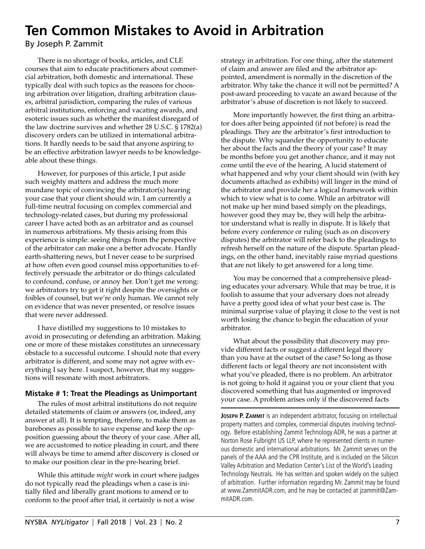# **Ten Common Mistakes to Avoid in Arbitration**

By Joseph P. Zammit

There is no shortage of books, articles, and CLE courses that aim to educate practitioners about commercial arbitration, both domestic and international. These typically deal with such topics as the reasons for choosing arbitration over litigation, drafting arbitration clauses, arbitral jurisdiction, comparing the rules of various arbitral institutions, enforcing and vacating awards, and esoteric issues such as whether the manifest disregard of the law doctrine survives and whether 28 U.S.C. § 1782(a) discovery orders can be utilized in international arbitrations. It hardly needs to be said that anyone aspiring to be an effective arbitration lawyer needs to be knowledgeable about these things.

However, for purposes of this article, I put aside such weighty matters and address the much more mundane topic of convincing the arbitrator(s) hearing your case that your client should win. I am currently a full-time neutral focusing on complex commercial and technology-related cases, but during my professional career I have acted both as an arbitrator and as counsel in numerous arbitrations. My thesis arising from this experience is simple: seeing things from the perspective of the arbitrator can make one a better advocate. Hardly earth-shattering news, but I never cease to be surprised at how often even good counsel miss opportunities to effectively persuade the arbitrator or do things calculated to confound, confuse, or annoy her. Don't get me wrong: we arbitrators try to get it right despite the oversights or foibles of counsel, but we're only human. We cannot rely on evidence that was never presented, or resolve issues that were never addressed.

I have distilled my suggestions to 10 mistakes to avoid in prosecuting or defending an arbitration. Making one or more of these mistakes constitutes an unnecessary obstacle to a successful outcome. I should note that every arbitrator is different, and some may not agree with everything I say here. I suspect, however, that my suggestions will resonate with most arbitrators.

# **Mistake # 1: Treat the Pleadings as Unimportant**

The rules of most arbitral institutions do not require detailed statements of claim or answers (or, indeed, any answer at all). It is tempting, therefore, to make them as barebones as possible to save expense and keep the opposition guessing about the theory of your case. After all, we are accustomed to notice pleading in court, and there will always be time to amend after discovery is closed or to make our position clear in the pre-hearing brief.

While this attitude *might* work in court where judges do not typically read the pleadings when a case is initially filed and liberally grant motions to amend or to conform to the proof after trial, it certainly is not a wise

strategy in arbitration. For one thing, after the statement of claim and answer are filed and the arbitrator appointed, amendment is normally in the discretion of the arbitrator. Why take the chance it will not be permitted? A post-award proceeding to vacate an award because of the arbitrator's abuse of discretion is not likely to succeed.

More importantly however, the first thing an arbitrator does after being appointed (if not before) is read the pleadings. They are the arbitrator's first introduction to the dispute. Why squander the opportunity to educate her about the facts and the theory of your case? It may be months before you get another chance, and it may not come until the eve of the hearing. A lucid statement of what happened and why your client should win (with key documents attached as exhibits) will linger in the mind of the arbitrator and provide her a logical framework within which to view what is to come. While an arbitrator will not make up her mind based simply on the pleadings, however good they may be, they will help the arbitrator understand what is really in dispute. It is likely that before every conference or ruling (such as on discovery disputes) the arbitrator will refer back to the pleadings to refresh herself on the nature of the dispute. Spartan pleadings, on the other hand, inevitably raise myriad questions that are not likely to get answered for a long time.

You may be concerned that a comprehensive pleading educates your adversary. While that may be true, it is foolish to assume that your adversary does not already have a pretty good idea of what your best case is. The minimal surprise value of playing it close to the vest is not worth losing the chance to begin the education of your arbitrator.

What about the possibility that discovery may provide different facts or suggest a different legal theory than you have at the outset of the case? So long as those different facts or legal theory are not inconsistent with what you've pleaded, there is no problem. An arbitrator is not going to hold it against you or your client that you discovered something that has augmented or improved your case. A problem arises only if the discovered facts

**Joseph P. Zammit** is an independent arbitrator, focusing on intellectual property matters and complex, commercial disputes involving technology. Before establishing Zammit Technology ADR, he was a partner at Norton Rose Fulbright US LLP, where he represented clients in numerous domestic and international arbitrations. Mr. Zammit serves on the panels of the AAA and the CPR Institute, and is included on the Silicon Valley Arbitration and Mediation Center's List of the World's Leading Technology Neutrals. He has written and spoken widely on the subject of arbitration. Further information regarding Mr. Zammit may be found at www.ZammitADR.com, and he may be contacted at jzammit@ZammitADR.com.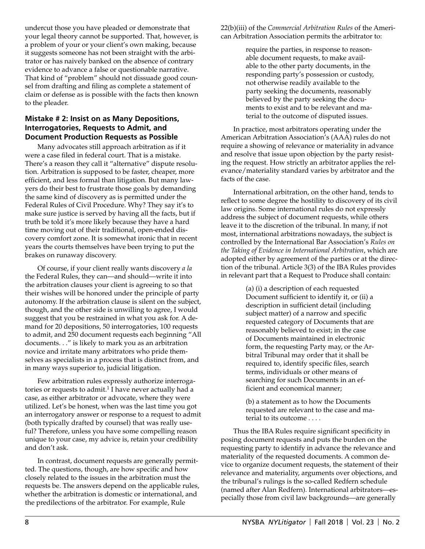undercut those you have pleaded or demonstrate that your legal theory cannot be supported. That, however, is a problem of your or your client's own making, because it suggests someone has not been straight with the arbitrator or has naively banked on the absence of contrary evidence to advance a false or questionable narrative. That kind of "problem" should not dissuade good counsel from drafting and filing as complete a statement of claim or defense as is possible with the facts then known to the pleader.

## **Mistake # 2: Insist on as Many Depositions, Interrogatories, Requests to Admit, and Document Production Requests as Possible**

Many advocates still approach arbitration as if it were a case filed in federal court. That is a mistake. There's a reason they call it "alternative" dispute resolution. Arbitration is supposed to be faster, cheaper, more efficient, and less formal than litigation. But many lawyers do their best to frustrate those goals by demanding the same kind of discovery as is permitted under the Federal Rules of Civil Procedure. Why? They say it's to make sure justice is served by having all the facts, but if truth be told it's more likely because they have a hard time moving out of their traditional, open-ended discovery comfort zone. It is somewhat ironic that in recent years the courts themselves have been trying to put the brakes on runaway discovery.

Of course, if your client really wants discovery *a la* the Federal Rules, they can—and should—write it into the arbitration clauses your client is agreeing to so that their wishes will be honored under the principle of party autonomy. If the arbitration clause is silent on the subject, though, and the other side is unwilling to agree, I would suggest that you be restrained in what you ask for. A demand for 20 depositions, 50 interrogatories, 100 requests to admit, and 250 document requests each beginning "All documents. . ." is likely to mark you as an arbitration novice and irritate many arbitrators who pride themselves as specialists in a process that is distinct from, and in many ways superior to, judicial litigation.

Few arbitration rules expressly authorize interrogatories or requests to admit.<sup>1</sup> I have never actually had a case, as either arbitrator or advocate, where they were utilized. Let's be honest, when was the last time you got an interrogatory answer or response to a request to admit (both typically drafted by counsel) that was really useful? Therefore, unless you have some compelling reason unique to your case, my advice is, retain your credibility and don't ask.

In contrast, document requests are generally permitted. The questions, though, are how specific and how closely related to the issues in the arbitration must the requests be. The answers depend on the applicable rules, whether the arbitration is domestic or international, and the predilections of the arbitrator. For example, Rule

22(b)(iii) of the *Commercial Arbitration Rules* of the American Arbitration Association permits the arbitrator to:

> require the parties, in response to reasonable document requests, to make available to the other party documents, in the responding party's possession or custody, not otherwise readily available to the party seeking the documents, reasonably believed by the party seeking the documents to exist and to be relevant and material to the outcome of disputed issues.

In practice, most arbitrators operating under the American Arbitration Association's (AAA) rules do not require a showing of relevance or materiality in advance and resolve that issue upon objection by the party resisting the request. How strictly an arbitrator applies the relevance/materiality standard varies by arbitrator and the facts of the case.

International arbitration, on the other hand, tends to reflect to some degree the hostility to discovery of its civil law origins. Some international rules do not expressly address the subject of document requests, while others leave it to the discretion of the tribunal. In many, if not most, international arbitrations nowadays, the subject is controlled by the International Bar Association's *Rules on the Taking of Evidence in International Arbitration*, which are adopted either by agreement of the parties or at the direction of the tribunal. Article 3(3) of the IBA Rules provides in relevant part that a Request to Produce shall contain:

> (a) (i) a description of each requested Document sufficient to identify it, or (ii) a description in sufficient detail (including subject matter) of a narrow and specific requested category of Documents that are reasonably believed to exist; in the case of Documents maintained in electronic form, the requesting Party may, or the Arbitral Tribunal may order that it shall be required to, identify specific files, search terms, individuals or other means of searching for such Documents in an efficient and economical manner;

> (b) a statement as to how the Documents requested are relevant to the case and material to its outcome . . . .

Thus the IBA Rules require significant specificity in posing document requests and puts the burden on the requesting party to identify in advance the relevance and materiality of the requested documents. A common device to organize document requests, the statement of their relevance and materiality, arguments over objections, and the tribunal's rulings is the so-called Redfern schedule (named after Alan Redfern). International arbitrators—especially those from civil law backgrounds—are generally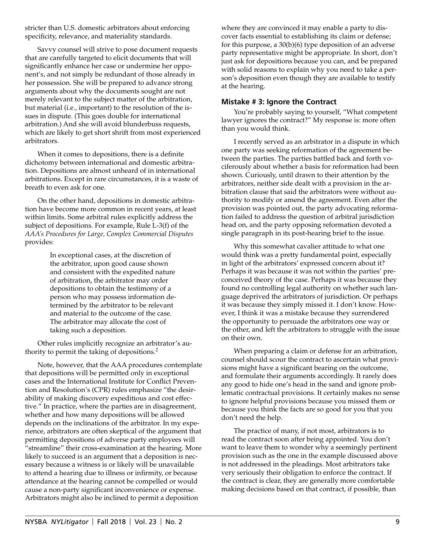stricter than U.S. domestic arbitrators about enforcing specificity, relevance, and materiality standards.

Savvy counsel will strive to pose document requests that are carefully targeted to elicit documents that will significantly enhance her case or undermine her opponent's, and not simply be redundant of those already in her possession. She will be prepared to advance strong arguments about why the documents sought are not merely relevant to the subject matter of the arbitration, but material (i.e*.*, important) to the resolution of the issues in dispute. (This goes double for international arbitration.) And she will avoid blunderbuss requests, which are likely to get short shrift from most experienced arbitrators.

When it comes to depositions, there is a definite dichotomy between international and domestic arbitration. Depositions are almost unheard of in international arbitrations. Except in rare circumstances, it is a waste of breath to even ask for one.

On the other hand, depositions in domestic arbitration have become more common in recent years, at least within limits. Some arbitral rules explicitly address the subject of depositions. For example, Rule L-3(f) of the *AAA's Procedures for Large, Complex Commercial Disputes*  provides:

> In exceptional cases, at the discretion of the arbitrator, upon good cause shown and consistent with the expedited nature of arbitration, the arbitrator may order depositions to obtain the testimony of a person who may possess information determined by the arbitrator to be relevant and material to the outcome of the case. The arbitrator may allocate the cost of taking such a deposition.

Other rules implicitly recognize an arbitrator's authority to permit the taking of depositions.2

Note, however, that the AAA procedures contemplate that depositions will be permitted only in exceptional cases and the International Institute for Conflict Prevention and Resolution's (CPR) rules emphasize "the desirability of making discovery expeditious and cost effective." In practice, where the parties are in disagreement, whether and how many depositions will be allowed depends on the inclinations of the arbitrator. In my experience, arbitrators are often skeptical of the argument that permitting depositions of adverse party employees will "streamline" their cross-examination at the hearing. More likely to succeed is an argument that a deposition is necessary because a witness is or likely will be unavailable to attend a hearing due to illness or infirmity, or because attendance at the hearing cannot be compelled or would cause a non-party significant inconvenience or expense. Arbitrators might also be inclined to permit a deposition

where they are convinced it may enable a party to discover facts essential to establishing its claim or defense; for this purpose, a 30(b)(6) type deposition of an adverse party representative might be appropriate. In short, don't just ask for depositions because you can, and be prepared with solid reasons to explain why you need to take a person's deposition even though they are available to testify at the hearing.

## **Mistake # 3: Ignore the Contract**

You're probably saying to yourself, "What competent lawyer ignores the contract?" My response is: more often than you would think.

I recently served as an arbitrator in a dispute in which one party was seeking reformation of the agreement between the parties. The parties battled back and forth vociferously about whether a basis for reformation had been shown. Curiously, until drawn to their attention by the arbitrators, neither side dealt with a provision in the arbitration clause that said the arbitrators were without authority to modify or amend the agreement. Even after the provision was pointed out, the party advocating reformation failed to address the question of arbitral jurisdiction head on, and the party opposing reformation devoted a single paragraph in its post-hearing brief to the issue.

Why this somewhat cavalier attitude to what one would think was a pretty fundamental point, especially in light of the arbitrators' expressed concern about it? Perhaps it was because it was not within the parties' preconceived theory of the case. Perhaps it was because they found no controlling legal authority on whether such language deprived the arbitrators of jurisdiction. Or perhaps it was because they simply missed it. I don't know. However, I think it was a mistake because they surrendered the opportunity to persuade the arbitrators one way or the other, and left the arbitrators to struggle with the issue on their own.

When preparing a claim or defense for an arbitration, counsel should scour the contract to ascertain what provisions might have a significant bearing on the outcome, and formulate their arguments accordingly. It rarely does any good to hide one's head in the sand and ignore problematic contractual provisions. It certainly makes no sense to ignore helpful provisions because you missed them or because you think the facts are so good for you that you don't need the help.

The practice of many, if not most, arbitrators is to read the contract soon after being appointed. You don't want to leave them to wonder why a seemingly pertinent provision such as the one in the example discussed above is not addressed in the pleadings. Most arbitrators take very seriously their obligation to enforce the contract. If the contract is clear, they are generally more comfortable making decisions based on that contract, if possible, than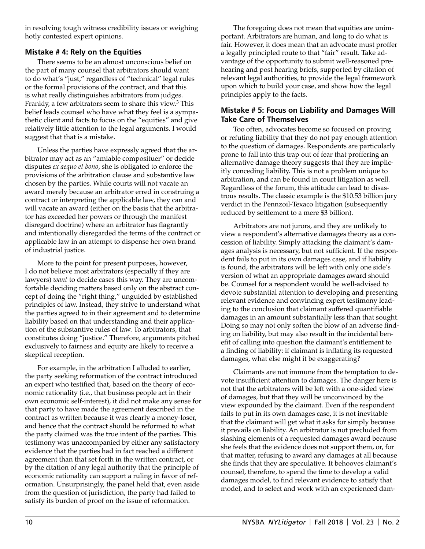in resolving tough witness credibility issues or weighing hotly contested expert opinions.

# **Mistake # 4: Rely on the Equities**

There seems to be an almost unconscious belief on the part of many counsel that arbitrators should want to do what's "just," regardless of "technical" legal rules or the formal provisions of the contract, and that this is what really distinguishes arbitrators from judges. Frankly, a few arbitrators seem to share this view.<sup>3</sup> This belief leads counsel who have what they feel is a sympathetic client and facts to focus on the "equities" and give relatively little attention to the legal arguments. I would suggest that that is a mistake.

Unless the parties have expressly agreed that the arbitrator may act as an "amiable composituer" or decide disputes *ex aequo et bono*, she is obligated to enforce the provisions of the arbitration clause and substantive law chosen by the parties. While courts will not vacate an award merely because an arbitrator erred in construing a contract or interpreting the applicable law, they can and will vacate an award (either on the basis that the arbitrator has exceeded her powers or through the manifest disregard doctrine) where an arbitrator has flagrantly and intentionally disregarded the terms of the contract or applicable law in an attempt to dispense her own brand of industrial justice.

More to the point for present purposes, however, I do not believe most arbitrators (especially if they are lawyers) *want* to decide cases this way. They are uncomfortable deciding matters based only on the abstract concept of doing the "right thing," unguided by established principles of law. Instead, they strive to understand what the parties agreed to in their agreement and to determine liability based on that understanding and their application of the substantive rules of law. To arbitrators, that constitutes doing "justice." Therefore, arguments pitched exclusively to fairness and equity are likely to receive a skeptical reception.

For example, in the arbitration I alluded to earlier, the party seeking reformation of the contract introduced an expert who testified that, based on the theory of economic rationality (i.e., that business people act in their own economic self-interest), it did not make any sense for that party to have made the agreement described in the contract as written because it was clearly a money-loser, and hence that the contract should be reformed to what the party claimed was the true intent of the parties. This testimony was unaccompanied by either any satisfactory evidence that the parties had in fact reached a different agreement than that set forth in the written contract, or by the citation of any legal authority that the principle of economic rationality can support a ruling in favor of reformation. Unsurprisingly, the panel held that, even aside from the question of jurisdiction, the party had failed to satisfy its burden of proof on the issue of reformation.

The foregoing does not mean that equities are unimportant. Arbitrators are human, and long to do what is fair. However, it does mean that an advocate must proffer a legally principled route to that "fair" result. Take advantage of the opportunity to submit well-reasoned prehearing and post hearing briefs, supported by citation of relevant legal authorities, to provide the legal framework upon which to build your case, and show how the legal principles apply to the facts.

## **Mistake # 5: Focus on Liability and Damages Will Take Care of Themselves**

Too often, advocates become so focused on proving or refuting liability that they do not pay enough attention to the question of damages. Respondents are particularly prone to fall into this trap out of fear that proffering an alternative damage theory suggests that they are implicitly conceding liability. This is not a problem unique to arbitration, and can be found in court litigation as well. Regardless of the forum, this attitude can lead to disastrous results. The classic example is the \$10.53 billion jury verdict in the Pennzoil-Texaco litigation (subsequently reduced by settlement to a mere \$3 billion).

Arbitrators are not jurors, and they are unlikely to view a respondent's alternative damages theory as a concession of liability. Simply attacking the claimant's damages analysis is necessary, but not sufficient. If the respondent fails to put in its own damages case, and if liability is found, the arbitrators will be left with only one side's version of what an appropriate damages award should be. Counsel for a respondent would be well-advised to devote substantial attention to developing and presenting relevant evidence and convincing expert testimony leading to the conclusion that claimant suffered quantifiable damages in an amount substantially less than that sought. Doing so may not only soften the blow of an adverse finding on liability, but may also result in the incidental benefit of calling into question the claimant's entitlement to a finding of liability: if claimant is inflating its requested damages, what else might it be exaggerating?

Claimants are not immune from the temptation to devote insufficient attention to damages. The danger here is not that the arbitrators will be left with a one-sided view of damages, but that they will be unconvinced by the view expounded by the claimant. Even if the respondent fails to put in its own damages case, it is not inevitable that the claimant will get what it asks for simply because it prevails on liability. An arbitrator is not precluded from slashing elements of a requested damages award because she feels that the evidence does not support them, or, for that matter, refusing to award any damages at all because she finds that they are speculative. It behooves claimant's counsel, therefore, to spend the time to develop a valid damages model, to find relevant evidence to satisfy that model, and to select and work with an experienced dam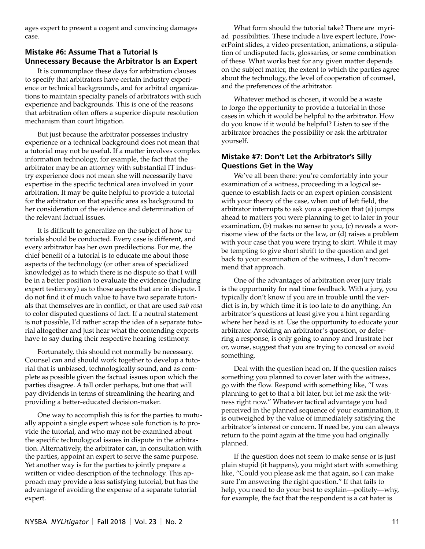ages expert to present a cogent and convincing damages case.

# **Mistake #6: Assume That a Tutorial Is Unnecessary Because the Arbitrator Is an Expert**

It is commonplace these days for arbitration clauses to specify that arbitrators have certain industry experience or technical backgrounds, and for arbitral organizations to maintain specialty panels of arbitrators with such experience and backgrounds. This is one of the reasons that arbitration often offers a superior dispute resolution mechanism than court litigation.

But just because the arbitrator possesses industry experience or a technical background does not mean that a tutorial may not be useful. If a matter involves complex information technology, for example, the fact that the arbitrator may be an attorney with substantial IT industry experience does not mean she will necessarily have expertise in the specific technical area involved in your arbitration. It may be quite helpful to provide a tutorial for the arbitrator on that specific area as background to her consideration of the evidence and determination of the relevant factual issues.

It is difficult to generalize on the subject of how tutorials should be conducted. Every case is different, and every arbitrator has her own predilections. For me, the chief benefit of a tutorial is to educate me about those aspects of the technology (or other area of specialized knowledge) as to which there is no dispute so that I will be in a better position to evaluate the evidence (including expert testimony) as to those aspects that are in dispute. I do not find it of much value to have two separate tutorials that themselves are in conflict, or that are used *sub rosa* to color disputed questions of fact. If a neutral statement is not possible, I'd rather scrap the idea of a separate tutorial altogether and just hear what the contending experts have to say during their respective hearing testimony.

Fortunately, this should not normally be necessary. Counsel can and should work together to develop a tutorial that is unbiased, technologically sound, and as complete as possible given the factual issues upon which the parties disagree. A tall order perhaps, but one that will pay dividends in terms of streamlining the hearing and providing a better-educated decision-maker.

One way to accomplish this is for the parties to mutually appoint a single expert whose sole function is to provide the tutorial, and who may not be examined about the specific technological issues in dispute in the arbitration. Alternatively, the arbitrator can, in consultation with the parties, appoint an expert to serve the same purpose. Yet another way is for the parties to jointly prepare a written or video description of the technology. This approach may provide a less satisfying tutorial, but has the advantage of avoiding the expense of a separate tutorial expert.

What form should the tutorial take? There are myriad possibilities. These include a live expert lecture, PowerPoint slides, a video presentation, animations, a stipulation of undisputed facts, glossaries, or some combination of these. What works best for any given matter depends on the subject matter, the extent to which the parties agree about the technology, the level of cooperation of counsel, and the preferences of the arbitrator.

Whatever method is chosen, it would be a waste to forgo the opportunity to provide a tutorial in those cases in which it would be helpful to the arbitrator. How do you know if it would be helpful? Listen to see if the arbitrator broaches the possibility or ask the arbitrator yourself.

# **Mistake #7: Don't Let the Arbitrator's Silly Questions Get in the Way**

We've all been there: you're comfortably into your examination of a witness, proceeding in a logical sequence to establish facts or an expert opinion consistent with your theory of the case, when out of left field, the arbitrator interrupts to ask you a question that (a) jumps ahead to matters you were planning to get to later in your examination, (b) makes no sense to you, (c) reveals a worrisome view of the facts or the law, or (d) raises a problem with your case that you were trying to skirt. While it may be tempting to give short shrift to the question and get back to your examination of the witness, I don't recommend that approach.

One of the advantages of arbitration over jury trials is the opportunity for real time feedback. With a jury, you typically don't know if you are in trouble until the verdict is in, by which time it is too late to do anything. An arbitrator's questions at least give you a hint regarding where her head is at. Use the opportunity to educate your arbitrator. Avoiding an arbitrator's question, or deferring a response, is only going to annoy and frustrate her or, worse, suggest that you are trying to conceal or avoid something.

Deal with the question head on. If the question raises something you planned to cover later with the witness, go with the flow. Respond with something like, "I was planning to get to that a bit later, but let me ask the witness right now." Whatever tactical advantage you had perceived in the planned sequence of your examination, it is outweighed by the value of immediately satisfying the arbitrator's interest or concern. If need be, you can always return to the point again at the time you had originally planned.

If the question does not seem to make sense or is just plain stupid (it happens), you might start with something like, "Could you please ask me that again, so I can make sure I'm answering the right question." If that fails to help, you need to do your best to explain—politely—why, for example, the fact that the respondent is a cat hater is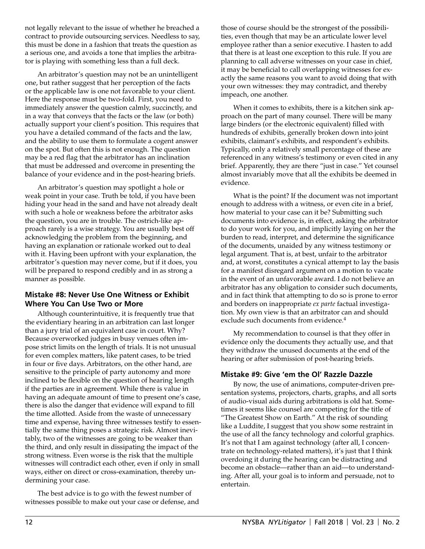not legally relevant to the issue of whether he breached a contract to provide outsourcing services. Needless to say, this must be done in a fashion that treats the question as a serious one, and avoids a tone that implies the arbitrator is playing with something less than a full deck.

An arbitrator's question may not be an unintelligent one, but rather suggest that her perception of the facts or the applicable law is one not favorable to your client. Here the response must be two-fold. First, you need to immediately answer the question calmly, succinctly, and in a way that conveys that the facts or the law (or both) actually support your client's position. This requires that you have a detailed command of the facts and the law, and the ability to use them to formulate a cogent answer on the spot. But often this is not enough. The question may be a red flag that the arbitrator has an inclination that must be addressed and overcome in presenting the balance of your evidence and in the post-hearing briefs.

An arbitrator's question may spotlight a hole or weak point in your case. Truth be told, if you have been hiding your head in the sand and have not already dealt with such a hole or weakness before the arbitrator asks the question, you are in trouble. The ostrich-like approach rarely is a wise strategy. You are usually best off acknowledging the problem from the beginning, and having an explanation or rationale worked out to deal with it. Having been upfront with your explanation, the arbitrator's question may never come, but if it does, you will be prepared to respond credibly and in as strong a manner as possible.

#### **Mistake #8: Never Use One Witness or Exhibit Where You Can Use Two or More**

Although counterintuitive, it is frequently true that the evidentiary hearing in an arbitration can last longer than a jury trial of an equivalent case in court. Why? Because overworked judges in busy venues often impose strict limits on the length of trials. It is not unusual for even complex matters, like patent cases, to be tried in four or five days. Arbitrators, on the other hand, are sensitive to the principle of party autonomy and more inclined to be flexible on the question of hearing length if the parties are in agreement. While there is value in having an adequate amount of time to present one's case, there is also the danger that evidence will expand to fill the time allotted. Aside from the waste of unnecessary time and expense, having three witnesses testify to essentially the same thing poses a strategic risk. Almost inevitably, two of the witnesses are going to be weaker than the third, and only result in dissipating the impact of the strong witness. Even worse is the risk that the multiple witnesses will contradict each other, even if only in small ways, either on direct or cross-examination, thereby undermining your case.

The best advice is to go with the fewest number of witnesses possible to make out your case or defense, and those of course should be the strongest of the possibilities, even though that may be an articulate lower level employee rather than a senior executive. I hasten to add that there is at least one exception to this rule. If you are planning to call adverse witnesses on your case in chief, it may be beneficial to call overlapping witnesses for exactly the same reasons you want to avoid doing that with your own witnesses: they may contradict, and thereby impeach, one another.

When it comes to exhibits, there is a kitchen sink approach on the part of many counsel. There will be many large binders (or the electronic equivalent) filled with hundreds of exhibits, generally broken down into joint exhibits, claimant's exhibits, and respondent's exhibits. Typically, only a relatively small percentage of these are referenced in any witness's testimony or even cited in any brief. Apparently, they are there "just in case." Yet counsel almost invariably move that all the exhibits be deemed in evidence.

What is the point? If the document was not important enough to address with a witness, or even cite in a brief, how material to your case can it be? Submitting such documents into evidence is, in effect, asking the arbitrator to do your work for you, and implicitly laying on her the burden to read, interpret, and determine the significance of the documents, unaided by any witness testimony or legal argument. That is, at best, unfair to the arbitrator and, at worst, constitutes a cynical attempt to lay the basis for a manifest disregard argument on a motion to vacate in the event of an unfavorable award. I do not believe an arbitrator has any obligation to consider such documents, and in fact think that attempting to do so is prone to error and borders on inappropriate *ex parte* factual investigation. My own view is that an arbitrator can and should exclude such documents from evidence.<sup>4</sup>

My recommendation to counsel is that they offer in evidence only the documents they actually use, and that they withdraw the unused documents at the end of the hearing or after submission of post-hearing briefs.

#### **Mistake #9: Give 'em the Ol' Razzle Dazzle**

By now, the use of animations, computer-driven presentation systems, projectors, charts, graphs, and all sorts of audio-visual aids during arbitrations is old hat. Sometimes it seems like counsel are competing for the title of "The Greatest Show on Earth." At the risk of sounding like a Luddite, I suggest that you show some restraint in the use of all the fancy technology and colorful graphics. It's not that I am against technology (after all, I concentrate on technology-related matters), it's just that I think overdoing it during the hearing can be distracting and become an obstacle—rather than an aid—to understanding. After all, your goal is to inform and persuade, not to entertain.